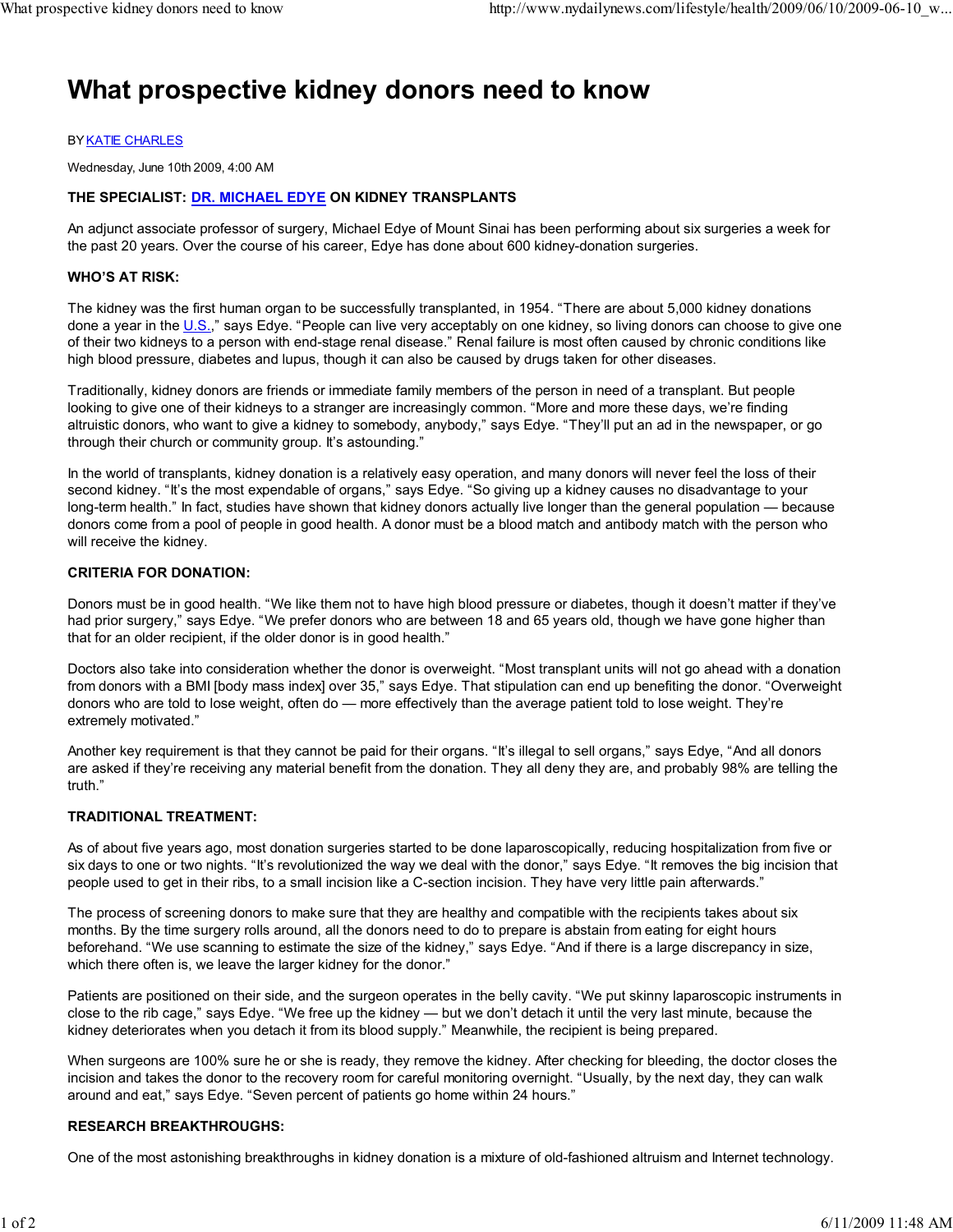# What prospective kidney donors need to know

#### BY KATIE CHARLES

Wednesday, June 10th 2009, 4:00 AM

## THE SPECIALIST: DR. MICHAEL EDYE ON KIDNEY TRANSPLANTS

An adjunct associate professor of surgery, Michael Edye of Mount Sinai has been performing about six surgeries a week for the past 20 years. Over the course of his career, Edye has done about 600 kidney-donation surgeries.

#### WHO'S AT RISK:

The kidney was the first human organ to be successfully transplanted, in 1954. "There are about 5,000 kidney donations done a year in the U.S.," says Edye. "People can live very acceptably on one kidney, so living donors can choose to give one of their two kidneys to a person with end-stage renal disease." Renal failure is most often caused by chronic conditions like high blood pressure, diabetes and lupus, though it can also be caused by drugs taken for other diseases.

Traditionally, kidney donors are friends or immediate family members of the person in need of a transplant. But people looking to give one of their kidneys to a stranger are increasingly common. "More and more these days, we're finding altruistic donors, who want to give a kidney to somebody, anybody," says Edye. "They'll put an ad in the newspaper, or go through their church or community group. It's astounding."

In the world of transplants, kidney donation is a relatively easy operation, and many donors will never feel the loss of their second kidney. "It's the most expendable of organs," says Edye. "So giving up a kidney causes no disadvantage to your long-term health." In fact, studies have shown that kidney donors actually live longer than the general population — because donors come from a pool of people in good health. A donor must be a blood match and antibody match with the person who will receive the kidney.

#### CRITERIA FOR DONATION:

Donors must be in good health. "We like them not to have high blood pressure or diabetes, though it doesn't matter if they've had prior surgery," says Edye. "We prefer donors who are between 18 and 65 years old, though we have gone higher than that for an older recipient, if the older donor is in good health."

Doctors also take into consideration whether the donor is overweight. "Most transplant units will not go ahead with a donation from donors with a BMI [body mass index] over 35," says Edye. That stipulation can end up benefiting the donor. "Overweight donors who are told to lose weight, often do — more effectively than the average patient told to lose weight. They're extremely motivated."

Another key requirement is that they cannot be paid for their organs. "It's illegal to sell organs," says Edye, "And all donors are asked if they're receiving any material benefit from the donation. They all deny they are, and probably 98% are telling the truth."

#### TRADITIONAL TREATMENT:

As of about five years ago, most donation surgeries started to be done laparoscopically, reducing hospitalization from five or six days to one or two nights. "It's revolutionized the way we deal with the donor," says Edye. "It removes the big incision that people used to get in their ribs, to a small incision like a C-section incision. They have very little pain afterwards."

The process of screening donors to make sure that they are healthy and compatible with the recipients takes about six months. By the time surgery rolls around, all the donors need to do to prepare is abstain from eating for eight hours beforehand. "We use scanning to estimate the size of the kidney," says Edye. "And if there is a large discrepancy in size, which there often is, we leave the larger kidney for the donor."

Patients are positioned on their side, and the surgeon operates in the belly cavity. "We put skinny laparoscopic instruments in close to the rib cage," says Edye. "We free up the kidney — but we don't detach it until the very last minute, because the kidney deteriorates when you detach it from its blood supply." Meanwhile, the recipient is being prepared.

When surgeons are 100% sure he or she is ready, they remove the kidney. After checking for bleeding, the doctor closes the incision and takes the donor to the recovery room for careful monitoring overnight. "Usually, by the next day, they can walk around and eat," says Edye. "Seven percent of patients go home within 24 hours."

#### RESEARCH BREAKTHROUGHS:

One of the most astonishing breakthroughs in kidney donation is a mixture of old-fashioned altruism and Internet technology.